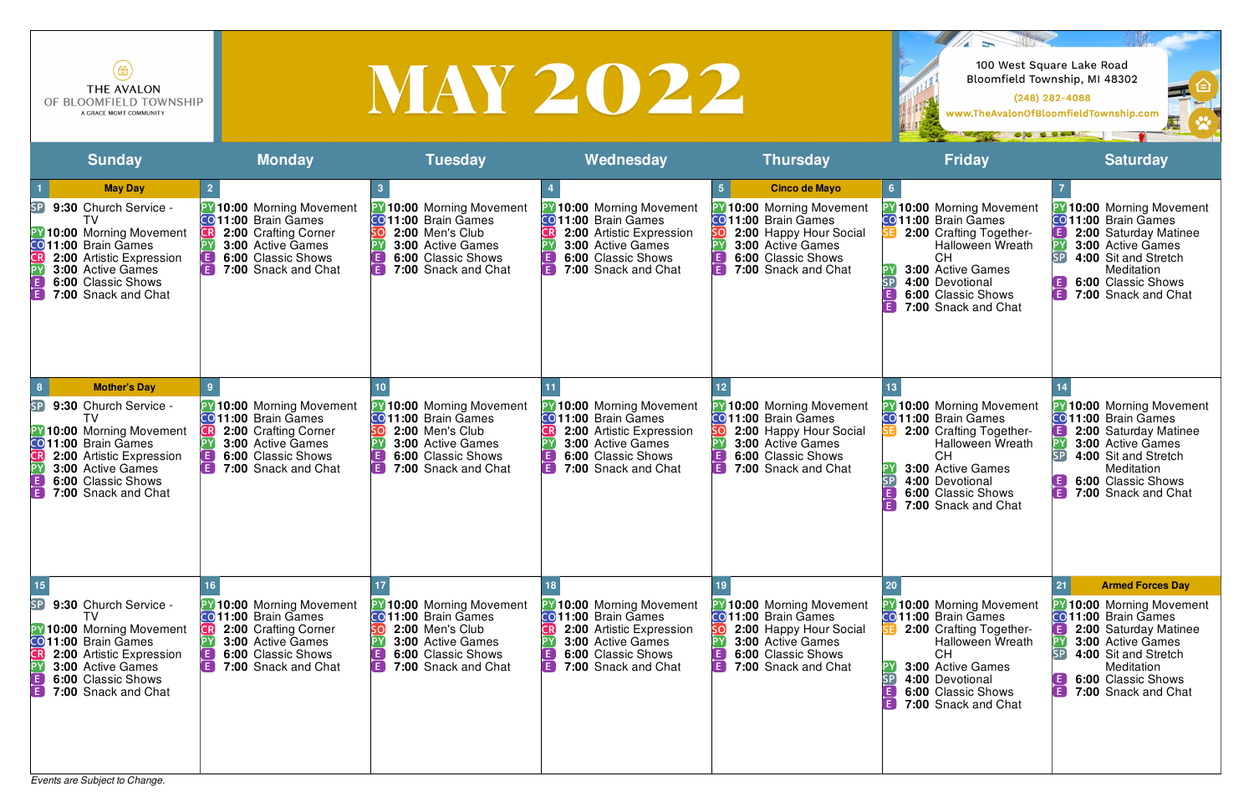| $\left( \biguplus \right)$<br><b>THE AVALON</b><br>OF BLOOMFIELD TOWNSHIP<br>A GRACE MGMT COMMUNITY                                                                                                                                |                                                                                                                                                                           |                                                                                                                                                                          | <b>MAY 2022</b>                                                                                                                                                                               |                                                                                                                                                                                                                   | OF A COL                                                                                                                                                                                                                                        | 100 West Square Lake Road<br>Bloomfield Township, MI 48302<br>$(248)$ 282-4088<br>www.TheAvalonOfBloomfieldTownship.com                                                                                                                                 |
|------------------------------------------------------------------------------------------------------------------------------------------------------------------------------------------------------------------------------------|---------------------------------------------------------------------------------------------------------------------------------------------------------------------------|--------------------------------------------------------------------------------------------------------------------------------------------------------------------------|-----------------------------------------------------------------------------------------------------------------------------------------------------------------------------------------------|-------------------------------------------------------------------------------------------------------------------------------------------------------------------------------------------------------------------|-------------------------------------------------------------------------------------------------------------------------------------------------------------------------------------------------------------------------------------------------|---------------------------------------------------------------------------------------------------------------------------------------------------------------------------------------------------------------------------------------------------------|
| <b>Sunday</b>                                                                                                                                                                                                                      | <b>Monday</b>                                                                                                                                                             | <b>Tuesday</b>                                                                                                                                                           | Wednesday                                                                                                                                                                                     | <b>Thursday</b>                                                                                                                                                                                                   | <b>Friday</b>                                                                                                                                                                                                                                   | <b>Saturday</b>                                                                                                                                                                                                                                         |
| <b>May Day</b><br>9:30 Church Service -<br> SP <br><b>Y</b> 10:00 Morning Movement<br>CO 11:00 Brain Games<br>2:00 Artistic Expression<br><b>3:00 Active Games</b><br>6:00 Classic Shows<br>LE.<br>E<br>7:00 Snack and Chat        | $\overline{2}$<br><b>PY 10:00 Morning Movement</b><br>CO 11:00 Brain Games<br>2:00 Crafting Corner<br>3:00 Active Games<br>6:00 Classic Shows<br>E<br>7:00 Snack and Chat | <b>PY 10:00 Morning Movement</b><br><b>CO</b> 11:00 Brain Games<br>2:00 Men's Club<br><b>3:00 Active Games</b><br><b>6:00 Classic Shows</b><br>E.<br>7:00 Snack and Chat | <b>Y</b> 10:00 Morning Movement<br><b>CO</b> 11:00 Brain Games<br>2:00 Artistic Expression<br><b>3:00 Active Games</b><br>[E<br>6:00 Classic Shows<br>I E I<br>7:00 Snack and Chat            | <b>Cinco de Mayo</b><br>5 <sub>5</sub><br>10:00 Morning Movement<br><b>CO</b> 11:00 Brain Games<br>2:00 Happy Hour Social<br><b>3:00 Active Games</b><br>6:00 Classic Shows<br>[ E ]<br>E)<br>7:00 Snack and Chat | $6\overline{6}$<br><b>PY 10:00 Morning Movement</b><br><b>CO 11:00</b> Brain Games<br>2:00 Crafting Together-<br><b>Halloween Wreath</b><br>СH<br><b>3:00 Active Games</b><br>4:00 Devotional<br>6:00 Classic Shows<br>F<br>7:00 Snack and Chat | <b>Y</b> 10:00 Morning Movement<br><b>CO</b> 11:00 Brain Games<br>2:00 Saturday Matinee<br>E.<br>PΥ<br>3:00 Active Games<br>SP<br>4:00 Sit and Stretch<br>Meditation<br>6:00 Classic Shows<br>$\blacksquare$<br>7:00 Snack and Chat                     |
| <b>Mother's Day</b><br>9:30 Church Service -<br>SP<br>TV<br><b>PY 10:00 Morning Movement</b><br>CO 11:00 Brain Games<br>2:00 Artistic Expression<br><b>3:00 Active Games</b><br>6:00 Classic Shows<br>7:00 Snack and Chat<br>l E J | PY 10:00 Morning Movement<br>CO 11:00 Brain Games<br>2:00 Crafting Corner<br>3:00 Active Games<br>6:00 Classic Shows<br>A<br>7:00 Snack and Chat                          | <b>PY 10:00 Morning Movement</b><br><b>CO</b> 11:00 Brain Games<br>2:00 Men's Club<br>3:00 Active Games<br>6:00 Classic Shows<br>LE.<br>E<br>7:00 Snack and Chat         | <b>PY 10:00 Morning Movement</b><br>CO <sub>11:00</sub> Brain Games<br>2:00 Artistic Expression<br><b>3:00 Active Games</b><br><b>E</b><br>6:00 Classic Shows<br>i Fil<br>7:00 Snack and Chat | PY 10:00 Morning Movement<br><b>CO</b> 11:00 Brain Games<br>2:00 Happy Hour Social<br>3:00 Active Games<br>E)<br>6:00 Classic Shows<br>E<br>7:00 Snack and Chat                                                   | <b>Y</b> 10:00 Morning Movement<br>CO 11:00 Brain Games<br>2:00 Crafting Together-<br><b>Halloween Wreath</b><br><b>CH</b><br>3:00 Active Games<br>SP<br>4:00 Devotional<br>6:00 Classic Shows<br>A<br>7:00 Snack and Chat                      | <b>Y</b> 10:00 Morning Movement<br><b>CO</b> 11:00 Brain Games<br>$\mathsf{E}^{\mathsf{T}}$<br>2:00 Saturday Matinee<br>PΥ<br>3:00 Active Games<br>SP<br>4:00 Sit and Stretch<br>Meditation<br>6:00 Classic Shows<br>E)<br><b>E</b> 7:00 Snack and Chat |
| SP<br>9:30 Church Service -<br>TV<br><b>PY 10:00 Morning Movement</b><br>CO 11:00 Brain Games<br>2:00 Artistic Expression<br><b>3:00 Active Games</b><br>6:00 Classic Shows<br>IE.<br>E<br>7:00 Snack and Chat                     | 10:00 Morning Movement<br>CO 11:00 Brain Games<br>2:00 Crafting Corner<br>3:00 Active Games<br>6:00 Classic Shows<br>E<br>7:00 Snack and Chat                             | 10:00 Morning Movement<br><b>CO</b> 11:00 Brain Games<br>2:00 Men's Club<br>3:00 Active Games<br>6:00 Classic Shows<br>E)<br>7:00 Snack and Chat                         | <b>Y</b> 10:00 Morning Movement<br>CO 11:00 Brain Games<br>2:00 Artistic Expression<br>3:00 Active Games<br>l E<br>6:00 Classic Shows<br>F.<br>7:00 Snack and Chat                            | 10:00 Morning Movement<br>CO 11:00 Brain Games<br>2:00 Happy Hour Social<br>3:00 Active Games<br>6:00 Classic Shows<br>E I<br>7:00 Snack and Chat                                                                 | 10:00 Morning Movement<br><b>CO</b> 11:00 Brain Games<br>2:00 Crafting Together-<br><b>Halloween Wreath</b><br><b>CH</b><br><b>3:00 Active Games</b><br>4:00 Devotional<br>6:00 Classic Shows<br>7:00 Snack and Chat                            | <b>Armed Forces Day</b><br>21<br><b>Y</b> 10:00 Morning Movement<br>CO 11:00 Brain Games<br>[ E ]<br>2:00 Saturday Matinee<br>3:00 Active Games<br>SP<br>4:00 Sit and Stretch<br>Meditation<br>6:00 Classic Shows<br>E.<br>E<br>7:00 Snack and Chat     |